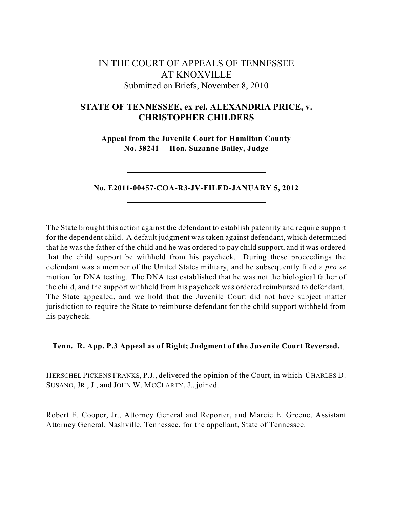# IN THE COURT OF APPEALS OF TENNESSEE AT KNOXVILLE Submitted on Briefs, November 8, 2010

## **STATE OF TENNESSEE, ex rel. ALEXANDRIA PRICE, v. CHRISTOPHER CHILDERS**

**Appeal from the Juvenile Court for Hamilton County No. 38241 Hon. Suzanne Bailey, Judge**

## **No. E2011-00457-COA-R3-JV-FILED-JANUARY 5, 2012**

The State brought this action against the defendant to establish paternity and require support for the dependent child. A default judgment was taken against defendant, which determined that he was the father of the child and he was ordered to pay child support, and it was ordered that the child support be withheld from his paycheck. During these proceedings the defendant was a member of the United States military, and he subsequently filed a *pro se* motion for DNA testing. The DNA test established that he was not the biological father of the child, and the support withheld from his paycheck was ordered reimbursed to defendant. The State appealed, and we hold that the Juvenile Court did not have subject matter jurisdiction to require the State to reimburse defendant for the child support withheld from his paycheck.

## **Tenn. R. App. P.3 Appeal as of Right; Judgment of the Juvenile Court Reversed.**

HERSCHEL PICKENS FRANKS, P.J., delivered the opinion of the Court, in which CHARLES D. SUSANO, JR., J., and JOHN W. MCCLARTY, J., joined.

Robert E. Cooper, Jr., Attorney General and Reporter, and Marcie E. Greene, Assistant Attorney General, Nashville, Tennessee, for the appellant, State of Tennessee.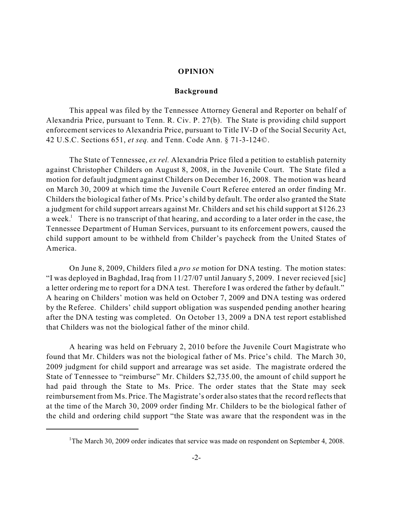#### **OPINION**

#### **Background**

This appeal was filed by the Tennessee Attorney General and Reporter on behalf of Alexandria Price, pursuant to Tenn. R. Civ. P. 27(b). The State is providing child support enforcement services to Alexandria Price, pursuant to Title IV-D of the Social Security Act, 42 U.S.C. Sections 651, *et seq.* and Tenn. Code Ann. § 71-3-124©.

The State of Tennessee, *ex rel.* Alexandria Price filed a petition to establish paternity against Christopher Childers on August 8, 2008, in the Juvenile Court. The State filed a motion for default judgment against Childers on December 16, 2008. The motion was heard on March 30, 2009 at which time the Juvenile Court Referee entered an order finding Mr. Childers the biological father of Ms. Price's child by default. The order also granted the State a judgment for child support arrears against Mr. Childers and set his child support at \$126.23 a week.<sup>1</sup> There is no transcript of that hearing, and according to a later order in the case, the Tennessee Department of Human Services, pursuant to its enforcement powers, caused the child support amount to be withheld from Childer's paycheck from the United States of America.

On June 8, 2009, Childers filed a *pro se* motion for DNA testing. The motion states: "I was deployed in Baghdad, Iraq from 11/27/07 until January 5, 2009. I never recieved [sic] a letter ordering me to report for a DNA test. Therefore I was ordered the father by default." A hearing on Childers' motion was held on October 7, 2009 and DNA testing was ordered by the Referee. Childers' child support obligation was suspended pending another hearing after the DNA testing was completed. On October 13, 2009 a DNA test report established that Childers was not the biological father of the minor child.

A hearing was held on February 2, 2010 before the Juvenile Court Magistrate who found that Mr. Childers was not the biological father of Ms. Price's child. The March 30, 2009 judgment for child support and arrearage was set aside. The magistrate ordered the State of Tennessee to "reimburse" Mr. Childers \$2,735.00, the amount of child support he had paid through the State to Ms. Price. The order states that the State may seek reimbursement from Ms. Price. The Magistrate's order also states that the record reflects that at the time of the March 30, 2009 order finding Mr. Childers to be the biological father of the child and ordering child support "the State was aware that the respondent was in the

<sup>&</sup>lt;sup>1</sup>The March 30, 2009 order indicates that service was made on respondent on September 4, 2008.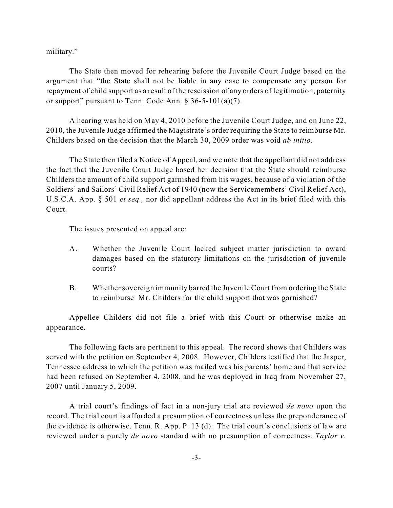military."

The State then moved for rehearing before the Juvenile Court Judge based on the argument that "the State shall not be liable in any case to compensate any person for repayment of child support as a result of the rescission of any orders of legitimation, paternity or support" pursuant to Tenn. Code Ann. § 36-5-101(a)(7).

A hearing was held on May 4, 2010 before the Juvenile Court Judge, and on June 22, 2010, the Juvenile Judge affirmed the Magistrate's order requiring the State to reimburse Mr. Childers based on the decision that the March 30, 2009 order was void *ab initio*.

The State then filed a Notice of Appeal, and we note that the appellant did not address the fact that the Juvenile Court Judge based her decision that the State should reimburse Childers the amount of child support garnished from his wages, because of a violation of the Soldiers' and Sailors' Civil Relief Act of 1940 (now the Servicemembers' Civil Relief Act), U.S.C.A. App. § 501 *et seq.,* nor did appellant address the Act in its brief filed with this Court.

The issues presented on appeal are:

- A. Whether the Juvenile Court lacked subject matter jurisdiction to award damages based on the statutory limitations on the jurisdiction of juvenile courts?
- B. Whether sovereign immunity barred the Juvenile Court from ordering the State to reimburse Mr. Childers for the child support that was garnished?

Appellee Childers did not file a brief with this Court or otherwise make an appearance.

The following facts are pertinent to this appeal. The record shows that Childers was served with the petition on September 4, 2008. However, Childers testified that the Jasper, Tennessee address to which the petition was mailed was his parents' home and that service had been refused on September 4, 2008, and he was deployed in Iraq from November 27, 2007 until January 5, 2009.

A trial court's findings of fact in a non-jury trial are reviewed *de novo* upon the record. The trial court is afforded a presumption of correctness unless the preponderance of the evidence is otherwise. Tenn. R. App. P. 13 (d). The trial court's conclusions of law are reviewed under a purely *de novo* standard with no presumption of correctness. *Taylor v.*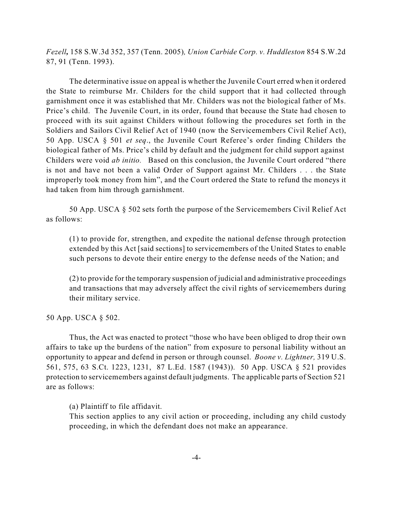*Fezell,* 158 S.W.3d 352, 357 (Tenn. 2005)*, Union Carbide Corp. v. Huddleston* 854 S.W.2d 87, 91 (Tenn. 1993).

The determinative issue on appeal is whether the Juvenile Court erred when it ordered the State to reimburse Mr. Childers for the child support that it had collected through garnishment once it was established that Mr. Childers was not the biological father of Ms. Price's child. The Juvenile Court, in its order, found that because the State had chosen to proceed with its suit against Childers without following the procedures set forth in the Soldiers and Sailors Civil Relief Act of 1940 (now the Servicemembers Civil Relief Act), 50 App. USCA § 501 *et seq*., the Juvenile Court Referee's order finding Childers the biological father of Ms. Price's child by default and the judgment for child support against Childers were void *ab initio.* Based on this conclusion, the Juvenile Court ordered "there is not and have not been a valid Order of Support against Mr. Childers . . . the State improperly took money from him", and the Court ordered the State to refund the moneys it had taken from him through garnishment.

50 App. USCA § 502 sets forth the purpose of the Servicemembers Civil Relief Act as follows:

(1) to provide for, strengthen, and expedite the national defense through protection extended by this Act [said sections] to servicemembers of the United States to enable such persons to devote their entire energy to the defense needs of the Nation; and

(2) to provide for the temporary suspension of judicial and administrative proceedings and transactions that may adversely affect the civil rights of servicemembers during their military service.

50 App. USCA § 502.

Thus, the Act was enacted to protect "those who have been obliged to drop their own affairs to take up the burdens of the nation" from exposure to personal liability without an opportunity to appear and defend in person or through counsel. *Boone v. Lightner,* 319 U.S. 561, 575, 63 S.Ct. 1223, 1231, 87 L.Ed. 1587 (1943)). 50 App. USCA § 521 provides protection to servicemembers against default judgments. The applicable parts of Section 521 are as follows:

(a) Plaintiff to file affidavit.

This section applies to any civil action or proceeding, including any child custody proceeding, in which the defendant does not make an appearance.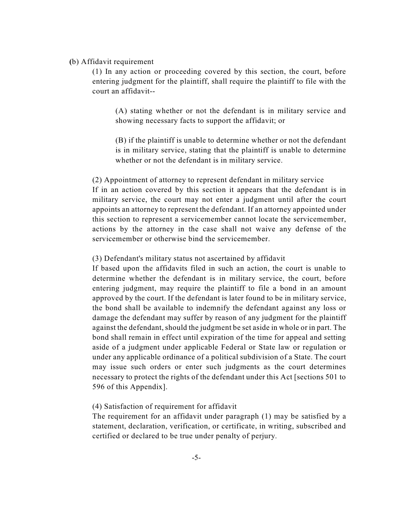## **(**b) Affidavit requirement

(1) In any action or proceeding covered by this section, the court, before entering judgment for the plaintiff, shall require the plaintiff to file with the court an affidavit--

(A) stating whether or not the defendant is in military service and showing necessary facts to support the affidavit; or

(B) if the plaintiff is unable to determine whether or not the defendant is in military service, stating that the plaintiff is unable to determine whether or not the defendant is in military service.

(2) Appointment of attorney to represent defendant in military service If in an action covered by this section it appears that the defendant is in military service, the court may not enter a judgment until after the court appoints an attorney to represent the defendant. If an attorney appointed under this section to represent a servicemember cannot locate the servicemember, actions by the attorney in the case shall not waive any defense of the servicemember or otherwise bind the servicemember.

## (3) Defendant's military status not ascertained by affidavit

If based upon the affidavits filed in such an action, the court is unable to determine whether the defendant is in military service, the court, before entering judgment, may require the plaintiff to file a bond in an amount approved by the court. If the defendant is later found to be in military service, the bond shall be available to indemnify the defendant against any loss or damage the defendant may suffer by reason of any judgment for the plaintiff against the defendant, should the judgment be set aside in whole or in part. The bond shall remain in effect until expiration of the time for appeal and setting aside of a judgment under applicable Federal or State law or regulation or under any applicable ordinance of a political subdivision of a State. The court may issue such orders or enter such judgments as the court determines necessary to protect the rights of the defendant under this Act [sections 501 to 596 of this Appendix].

### (4) Satisfaction of requirement for affidavit

The requirement for an affidavit under paragraph (1) may be satisfied by a statement, declaration, verification, or certificate, in writing, subscribed and certified or declared to be true under penalty of perjury.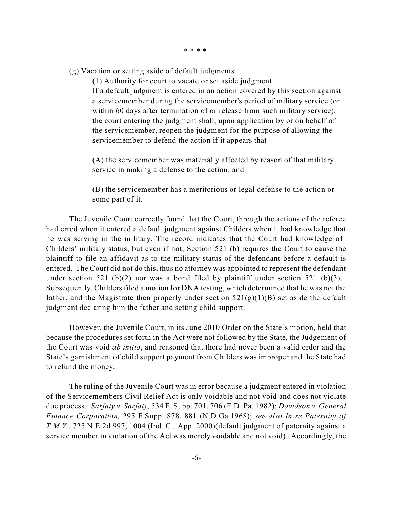\* \* \* \*

(g) Vacation or setting aside of default judgments

(1) Authority for court to vacate or set aside judgment If a default judgment is entered in an action covered by this section against a servicemember during the servicemember's period of military service (or within 60 days after termination of or release from such military service), the court entering the judgment shall, upon application by or on behalf of the servicemember, reopen the judgment for the purpose of allowing the servicemember to defend the action if it appears that--

(A) the servicemember was materially affected by reason of that military service in making a defense to the action; and

(B) the servicemember has a meritorious or legal defense to the action or some part of it.

The Juvenile Court correctly found that the Court, through the actions of the referee had erred when it entered a default judgment against Childers when it had knowledge that he was serving in the military. The record indicates that the Court had knowledge of Childers' military status, but even if not, Section 521 (b) requires the Court to cause the plaintiff to file an affidavit as to the military status of the defendant before a default is entered. The Court did not do this, thus no attorney was appointed to represent the defendant under section 521 (b)(2) nor was a bond filed by plaintiff under section 521 (b)(3). Subsequently, Childers filed a motion for DNA testing, which determined that he was not the father, and the Magistrate then properly under section  $521(g)(1)(B)$  set aside the default judgment declaring him the father and setting child support.

However, the Juvenile Court, in its June 2010 Order on the State's motion, held that because the procedures set forth in the Act were not followed by the State, the Judgement of the Court was void *ab initio*, and reasoned that there had never been a valid order and the State's garnishment of child support payment from Childers was improper and the State had to refund the money.

The ruling of the Juvenile Court was in error because a judgment entered in violation of the Servicemembers Civil Relief Act is only voidable and not void and does not violate due process. *Sarfaty v. Sarfaty,* 534 F. Supp. 701, 706 (E.D. Pa. 1982); *Davidson v. General Finance Corporation,* 295 F.Supp. 878, 881 (N.D.Ga.1968); *see also In re Paternity of T.M.Y.*, 725 N.E.2d 997, 1004 (Ind. Ct. App. 2000)(default judgment of paternity against a service member in violation of the Act was merely voidable and not void). Accordingly, the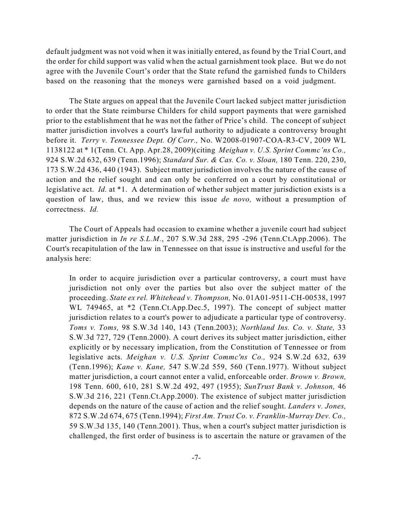default judgment was not void when it was initially entered, as found by the Trial Court, and the order for child support was valid when the actual garnishment took place. But we do not agree with the Juvenile Court's order that the State refund the garnished funds to Childers based on the reasoning that the moneys were garnished based on a void judgment.

The State argues on appeal that the Juvenile Court lacked subject matter jurisdiction to order that the State reimburse Childers for child support payments that were garnished prior to the establishment that he was not the father of Price's child. The concept of subject matter jurisdiction involves a court's lawful authority to adjudicate a controversy brought before it. *Terry v. Tennessee Dept. Of Corr.,* No. W2008-01907-COA-R3-CV, 2009 WL 1138122 at \* 1(Tenn. Ct. App. Apr.28, 2009)(citing *Meighan v. U.S. Sprint Commc'ns Co.,* 924 S.W.2d 632, 639 (Tenn.1996); *Standard Sur. & Cas. Co. v. Sloan,* 180 Tenn. 220, 230, 173 S.W.2d 436, 440 (1943). Subject matter jurisdiction involves the nature of the cause of action and the relief sought and can only be conferred on a court by constitutional or legislative act. *Id.* at \*1. A determination of whether subject matter jurisdiction exists is a question of law, thus, and we review this issue *de novo,* without a presumption of correctness. *Id.*

The Court of Appeals had occasion to examine whether a juvenile court had subject matter jurisdiction in *In re S.L.M.*, 207 S.W.3d 288, 295 -296 (Tenn.Ct.App.2006). The Court's recapitulation of the law in Tennessee on that issue is instructive and useful for the analysis here:

In order to acquire jurisdiction over a particular controversy, a court must have jurisdiction not only over the parties but also over the subject matter of the proceeding. *State ex rel. Whitehead v. Thompson,* No. 01A01-9511-CH-00538, 1997 WL 749465, at \*2 (Tenn.Ct.App.Dec.5, 1997). The concept of subject matter jurisdiction relates to a court's power to adjudicate a particular type of controversy. *Toms v. Toms,* 98 S.W.3d 140, 143 (Tenn.2003); *Northland Ins. Co. v. State,* 33 S.W.3d 727, 729 (Tenn.2000). A court derives its subject matter jurisdiction, either explicitly or by necessary implication, from the Constitution of Tennessee or from legislative acts. *Meighan v. U.S. Sprint Commc'ns Co.,* 924 S.W.2d 632, 639 (Tenn.1996); *Kane v. Kane,* 547 S.W.2d 559, 560 (Tenn.1977). Without subject matter jurisdiction, a court cannot enter a valid, enforceable order. *Brown v. Brown,* 198 Tenn. 600, 610, 281 S.W.2d 492, 497 (1955); *SunTrust Bank v. Johnson,* 46 S.W.3d 216, 221 (Tenn.Ct.App.2000). The existence of subject matter jurisdiction depends on the nature of the cause of action and the relief sought. *Landers v. Jones,* 872 S.W.2d 674, 675 (Tenn.1994); *First Am. Trust Co. v. Franklin-Murray Dev. Co.,* 59 S.W.3d 135, 140 (Tenn.2001). Thus, when a court's subject matter jurisdiction is challenged, the first order of business is to ascertain the nature or gravamen of the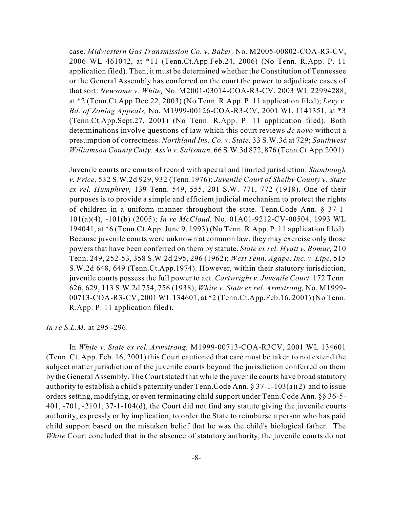case. *Midwestern Gas Transmission Co. v. Baker,* No. M2005-00802-COA-R3-CV, 2006 WL 461042, at \*11 (Tenn.Ct.App.Feb.24, 2006) (No Tenn. R.App. P. 11 application filed). Then, it must be determined whether the Constitution of Tennessee or the General Assembly has conferred on the court the power to adjudicate cases of that sort. *Newsome v. White,* No. M2001-03014-COA-R3-CV, 2003 WL 22994288, at \*2 (Tenn.Ct.App.Dec.22, 2003) (No Tenn. R.App. P. 11 application filed); *Levy v. Bd. of Zoning Appeals,* No. M1999-00126-COA-R3-CV, 2001 WL 1141351, at \*3 (Tenn.Ct.App.Sept.27, 2001) (No Tenn. R.App. P. 11 application filed). Both determinations involve questions of law which this court reviews *de novo* without a presumption of correctness. *Northland Ins. Co. v. State,* 33 S.W.3d at 729; *Southwest Williamson County Cmty. Ass'n v. Saltsman,* 66 S.W.3d 872, 876 (Tenn.Ct.App.2001).

Juvenile courts are courts of record with special and limited jurisdiction. *Stambaugh v. Price,* 532 S.W.2d 929, 932 (Tenn.1976); *Juvenile Court of Shelby County v. State ex rel. Humphrey,* 139 Tenn. 549, 555, 201 S.W. 771, 772 (1918). One of their purposes is to provide a simple and efficient judicial mechanism to protect the rights of children in a uniform manner throughout the state. Tenn.Code Ann. § 37-1- 101(a)(4), -101(b) (2005); *In re McCloud,* No. 01A01-9212-CV-00504, 1993 WL 194041, at \*6 (Tenn.Ct.App. June 9, 1993) (No Tenn. R.App. P. 11 application filed). Because juvenile courts were unknown at common law, they may exercise only those powers that have been conferred on them by statute. *State ex rel. Hyatt v. Bomar,* 210 Tenn. 249, 252-53, 358 S.W.2d 295, 296 (1962); *West Tenn. Agape, Inc. v. Lipe,* 515 S.W.2d 648, 649 (Tenn.Ct.App.1974). However, within their statutory jurisdiction, juvenile courts possess the full power to act. *Cartwright v. Juvenile Court,* 172 Tenn. 626, 629, 113 S.W.2d 754, 756 (1938); *White v. State ex rel. Armstrong,* No. M1999- 00713-COA-R3-CV, 2001 WL 134601, at \*2 (Tenn.Ct.App.Feb.16, 2001) (No Tenn. R.App. P. 11 application filed).

*In re S.L.M.* at 295 -296.

In *White v. State ex rel. Armstrong,* M1999-00713-COA-R3CV, 2001 WL 134601 (Tenn. Ct. App. Feb. 16, 2001) this Court cautioned that care must be taken to not extend the subject matter jurisdiction of the juvenile courts beyond the jurisdiction conferred on them by the General Assembly. The Court stated that while the juvenile courts have broad statutory authority to establish a child's paternity under Tenn. Code Ann.  $\S 37$ -1-103(a)(2) and to issue orders setting, modifying, or even terminating child support under Tenn.Code Ann. §§ 36-5- 401, -701, -2101, 37-1-104(d), the Court did not find any statute giving the juvenile courts authority, expressly or by implication, to order the State to reimburse a person who has paid child support based on the mistaken belief that he was the child's biological father. The *White* Court concluded that in the absence of statutory authority, the juvenile courts do not